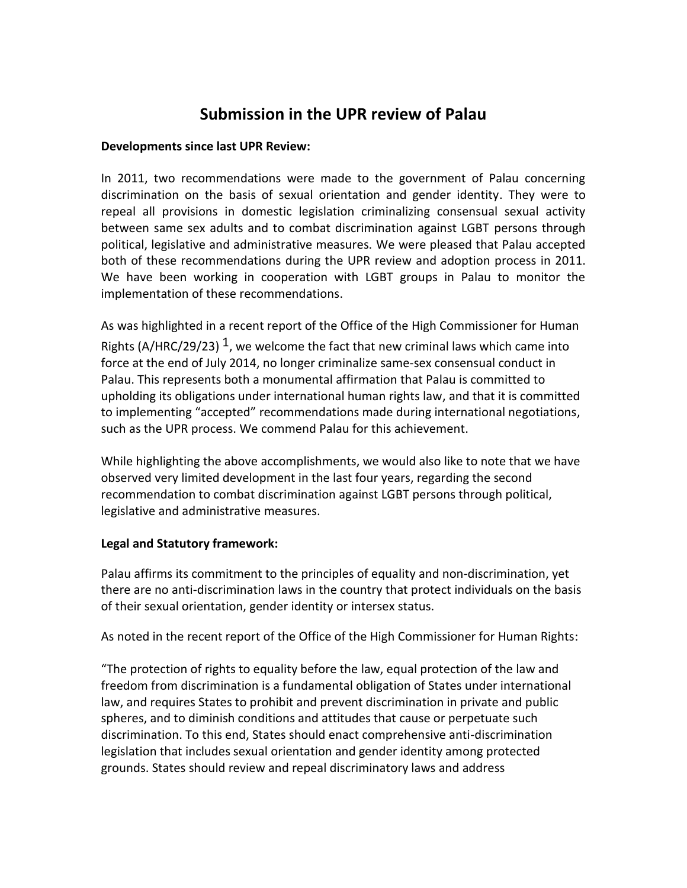# **Submission in the UPR review of Palau**

## **Developments since last UPR Review:**

In 2011, two recommendations were made to the government of Palau concerning discrimination on the basis of sexual orientation and gender identity. They were to repeal all provisions in domestic legislation criminalizing consensual sexual activity between same sex adults and to combat discrimination against LGBT persons through political, legislative and administrative measures. We were pleased that Palau accepted both of these recommendations during the UPR review and adoption process in 2011. We have been working in cooperation with LGBT groups in Palau to monitor the implementation of these recommendations.

As was highlighted in a recent report of the Office of the High Commissioner for Human Rights (A/HRC/29/23)  $<sup>1</sup>$ , we welcome the fact that new criminal laws which came into</sup> force at the end of July 2014, no longer criminalize same-sex consensual conduct in Palau. This represents both a monumental affirmation that Palau is committed to upholding its obligations under international human rights law, and that it is committed to implementing "accepted" recommendations made during international negotiations, such as the UPR process. We commend Palau for this achievement.

While highlighting the above accomplishments, we would also like to note that we have observed very limited development in the last four years, regarding the second recommendation to combat discrimination against LGBT persons through political, legislative and administrative measures.

### **Legal and Statutory framework:**

Palau affirms its commitment to the principles of equality and non‐discrimination, yet there are no anti-discrimination laws in the country that protect individuals on the basis of their sexual orientation, gender identity or intersex status.

As noted in the recent report of the Office of the High Commissioner for Human Rights:

"The protection of rights to equality before the law, equal protection of the law and freedom from discrimination is a fundamental obligation of States under international law, and requires States to prohibit and prevent discrimination in private and public spheres, and to diminish conditions and attitudes that cause or perpetuate such discrimination. To this end, States should enact comprehensive anti-discrimination legislation that includes sexual orientation and gender identity among protected grounds. States should review and repeal discriminatory laws and address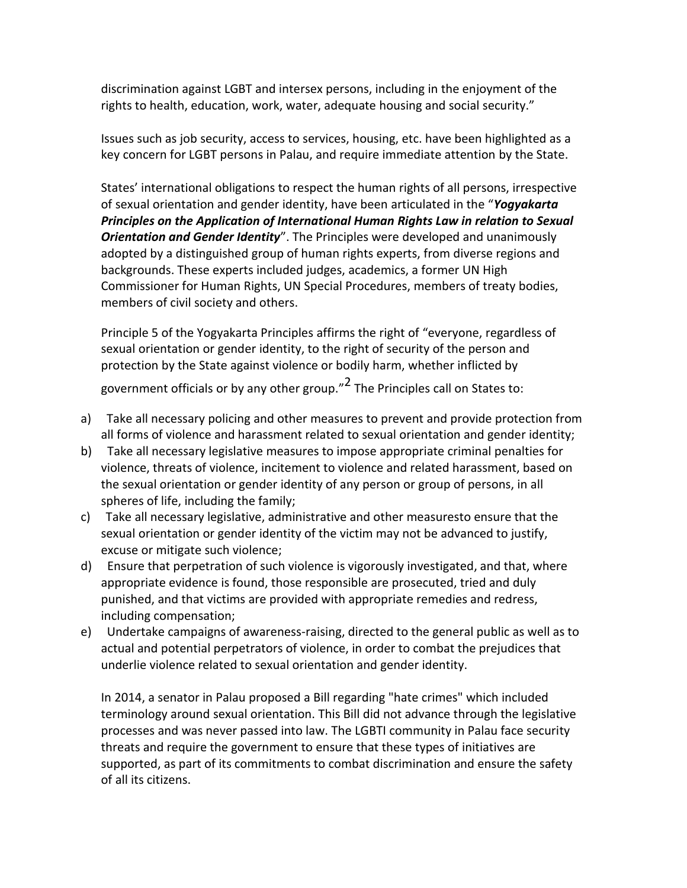discrimination against LGBT and intersex persons, including in the enjoyment of the rights to health, education, work, water, adequate housing and social security."

Issues such as job security, access to services, housing, etc. have been highlighted as a key concern for LGBT persons in Palau, and require immediate attention by the State.

States' international obligations to respect the human rights of all persons, irrespective of sexual orientation and gender identity, have been articulated in the "*Yogyakarta Principles on the Application of International Human Rights Law in relation to Sexual Orientation and Gender Identity*". The Principles were developed and unanimously adopted by a distinguished group of human rights experts, from diverse regions and backgrounds. These experts included judges, academics, a former UN High Commissioner for Human Rights, UN Special Procedures, members of treaty bodies, members of civil society and others.

Principle 5 of the Yogyakarta Principles affirms the right of "everyone, regardless of sexual orientation or gender identity, to the right of security of the person and protection by the State against violence or bodily harm, whether inflicted by government officials or by any other group."<sup>2</sup> The Principles call on States to:

- a) Take all necessary policing and other measures to prevent and provide protection from all forms of violence and harassment related to sexual orientation and gender identity;
- b) Take all necessary legislative measures to impose appropriate criminal penalties for violence, threats of violence, incitement to violence and related harassment, based on the sexual orientation or gender identity of any person or group of persons, in all spheres of life, including the family;
- c) Take all necessary legislative, administrative and other measuresto ensure that the sexual orientation or gender identity of the victim may not be advanced to justify, excuse or mitigate such violence;
- d) Ensure that perpetration of such violence is vigorously investigated, and that, where appropriate evidence is found, those responsible are prosecuted, tried and duly punished, and that victims are provided with appropriate remedies and redress, including compensation;
- e) Undertake campaigns of awareness-raising, directed to the general public as well as to actual and potential perpetrators of violence, in order to combat the prejudices that underlie violence related to sexual orientation and gender identity.

In 2014, a senator in Palau proposed a Bill regarding "hate crimes" which included terminology around sexual orientation. This Bill did not advance through the legislative processes and was never passed into law. The LGBTI community in Palau face security threats and require the government to ensure that these types of initiatives are supported, as part of its commitments to combat discrimination and ensure the safety of all its citizens.